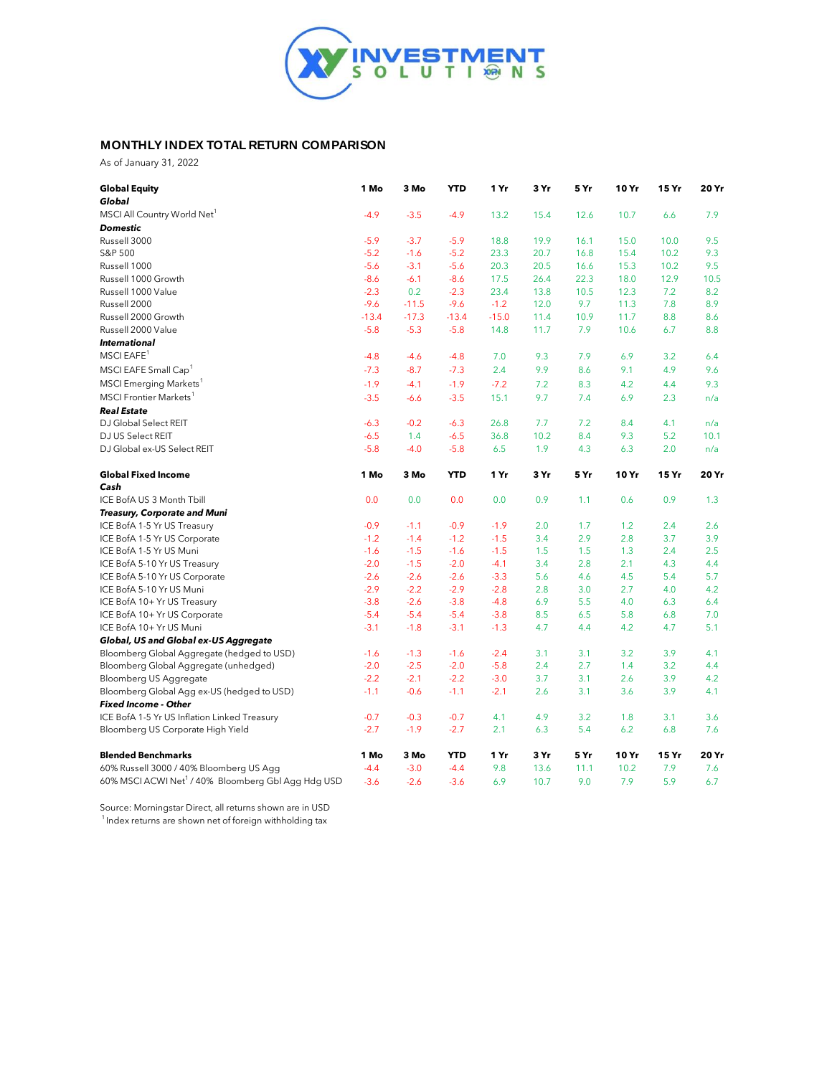

## **MONTHLY INDEX TOTAL RETURN COMPARISON**

As of January 31, 2022

| <b>Global Equity</b><br>Global                                 | 1 Mo    | 3 Mo    | <b>YTD</b> | 1 Yr    | 3 Yr | 5 Yr | 10 Yr | 15 Yr | 20 Yr |
|----------------------------------------------------------------|---------|---------|------------|---------|------|------|-------|-------|-------|
| MSCI All Country World Net <sup>1</sup>                        | $-4.9$  | $-3.5$  | $-4.9$     | 13.2    | 15.4 | 12.6 | 10.7  | 6.6   | 7.9   |
| <b>Domestic</b>                                                |         |         |            |         |      |      |       |       |       |
| Russell 3000                                                   | $-5.9$  | $-3.7$  | $-5.9$     | 18.8    | 19.9 | 16.1 | 15.0  | 10.0  | 9.5   |
| S&P 500                                                        | $-5.2$  | $-1.6$  | $-5.2$     | 23.3    | 20.7 | 16.8 | 15.4  | 10.2  | 9.3   |
| Russell 1000                                                   | $-5.6$  | $-3.1$  | $-5.6$     | 20.3    | 20.5 | 16.6 | 15.3  | 10.2  | 9.5   |
| Russell 1000 Growth                                            | $-8.6$  | $-6.1$  | $-8.6$     | 17.5    | 26.4 | 22.3 | 18.0  | 12.9  | 10.5  |
| Russell 1000 Value                                             | $-2.3$  | 0.2     | $-2.3$     | 23.4    | 13.8 | 10.5 | 12.3  | 7.2   | 8.2   |
| Russell 2000                                                   | $-9.6$  | $-11.5$ | $-9.6$     | $-1.2$  | 12.0 | 9.7  | 11.3  | 7.8   | 8.9   |
| Russell 2000 Growth                                            | $-13.4$ | $-17.3$ | $-13.4$    | $-15.0$ | 11.4 | 10.9 | 11.7  | 8.8   | 8.6   |
| Russell 2000 Value                                             | $-5.8$  | $-5.3$  | $-5.8$     | 14.8    | 11.7 | 7.9  | 10.6  | 6.7   | 8.8   |
| <b>International</b>                                           |         |         |            |         |      |      |       |       |       |
| MSCI EAFE <sup>1</sup>                                         | $-4.8$  | $-4.6$  | $-4.8$     | 7.0     | 9.3  | 7.9  | 6.9   | 3.2   | 6.4   |
| MSCI EAFE Small Cap <sup>1</sup>                               | $-7.3$  | $-8.7$  | $-7.3$     | 2.4     | 9.9  | 8.6  | 9.1   | 4.9   | 9.6   |
| MSCI Emerging Markets <sup>1</sup>                             | $-1.9$  | $-4.1$  | $-1.9$     | $-7.2$  | 7.2  | 8.3  | 4.2   | 4.4   | 9.3   |
| <b>MSCI</b> Frontier Markets <sup>1</sup>                      | $-3.5$  | $-6.6$  | $-3.5$     | 15.1    | 9.7  | 7.4  | 6.9   | 2.3   | n/a   |
| <b>Real Estate</b>                                             |         |         |            |         |      |      |       |       |       |
| DJ Global Select REIT                                          | $-6.3$  | $-0.2$  | $-6.3$     | 26.8    | 7.7  | 7.2  | 8.4   | 4.1   | n/a   |
| DJ US Select REIT                                              | $-6.5$  | 1.4     | $-6.5$     | 36.8    | 10.2 | 8.4  | 9.3   | 5.2   | 10.1  |
| DJ Global ex-US Select REIT                                    | $-5.8$  | $-4.0$  | $-5.8$     | 6.5     | 1.9  | 4.3  | 6.3   | 2.0   | n/a   |
| <b>Global Fixed Income</b>                                     | 1 Mo    | 3 Mo    | <b>YTD</b> | 1 Yr    | 3 Yr | 5 Yr | 10 Yr | 15 Yr | 20 Yr |
| Cash                                                           |         |         |            |         |      |      |       |       |       |
| ICE BofA US 3 Month Tbill                                      | 0.0     | 0.0     | 0.0        | 0.0     | 0.9  | 1.1  | 0.6   | 0.9   | 1.3   |
| Treasury, Corporate and Muni                                   |         |         |            |         |      |      |       |       |       |
| ICE BofA 1-5 Yr US Treasury                                    | $-0.9$  | $-1.1$  | $-0.9$     | $-1.9$  | 2.0  | 1.7  | 1.2   | 2.4   | 2.6   |
| ICE BofA 1-5 Yr US Corporate                                   | $-1.2$  | $-1.4$  | $-1.2$     | $-1.5$  | 3.4  | 2.9  | 2.8   | 3.7   | 3.9   |
| ICE BofA 1-5 Yr US Muni                                        | $-1.6$  | $-1.5$  | $-1.6$     | $-1.5$  | 1.5  | 1.5  | 1.3   | 2.4   | 2.5   |
| ICE BofA 5-10 Yr US Treasury                                   | $-2.0$  | $-1.5$  | $-2.0$     | $-4.1$  | 3.4  | 2.8  | 2.1   | 4.3   | 4.4   |
| ICE BofA 5-10 Yr US Corporate                                  | $-2.6$  | $-2.6$  | $-2.6$     | $-3.3$  | 5.6  | 4.6  | 4.5   | 5.4   | 5.7   |
| ICE BofA 5-10 Yr US Muni                                       | $-2.9$  | $-2.2$  | $-2.9$     | $-2.8$  | 2.8  | 3.0  | 2.7   | 4.0   | 4.2   |
| ICE BofA 10+ Yr US Treasury                                    | $-3.8$  | $-2.6$  | $-3.8$     | $-4.8$  | 6.9  | 5.5  | 4.0   | 6.3   | 6.4   |
| ICE BofA 10+ Yr US Corporate                                   | $-5.4$  | $-5.4$  | $-5.4$     | $-3.8$  | 8.5  | 6.5  | 5.8   | 6.8   | 7.0   |
| ICE BofA 10+ Yr US Muni                                        | $-3.1$  | $-1.8$  | $-3.1$     | $-1.3$  | 4.7  | 4.4  | 4.2   | 4.7   | 5.1   |
| Global, US and Global ex-US Aggregate                          |         |         |            |         |      |      |       |       |       |
| Bloomberg Global Aggregate (hedged to USD)                     | $-1.6$  | $-1.3$  | $-1.6$     | $-2.4$  | 3.1  | 3.1  | 3.2   | 3.9   | 4.1   |
| Bloomberg Global Aggregate (unhedged)                          | $-2.0$  | $-2.5$  | $-2.0$     | $-5.8$  | 2.4  | 2.7  | 1.4   | 3.2   | 4.4   |
| Bloomberg US Aggregate                                         | $-2.2$  | $-2.1$  | $-2.2$     | $-3.0$  | 3.7  | 3.1  | 2.6   | 3.9   | 4.2   |
| Bloomberg Global Agg ex-US (hedged to USD)                     | $-1.1$  | $-0.6$  | $-1.1$     | $-2.1$  | 2.6  | 3.1  | 3.6   | 3.9   | 4.1   |
| <b>Fixed Income - Other</b>                                    |         |         |            |         |      |      |       |       |       |
| ICE BofA 1-5 Yr US Inflation Linked Treasury                   | $-0.7$  | $-0.3$  | $-0.7$     | 4.1     | 4.9  | 3.2  | 1.8   | 3.1   | 3.6   |
| Bloomberg US Corporate High Yield                              | $-2.7$  | $-1.9$  | $-2.7$     | 2.1     | 6.3  | 5.4  | 6.2   | 6.8   | 7.6   |
| <b>Blended Benchmarks</b>                                      | 1 Mo    | 3 Mo    | <b>YTD</b> | 1 Yr    | 3 Yr | 5 Yr | 10 Yr | 15 Yr | 20 Yr |
| 60% Russell 3000 / 40% Bloomberg US Agg                        | $-4.4$  | $-3.0$  | $-4.4$     | 9.8     | 13.6 | 11.1 | 10.2  | 7.9   | 7.6   |
| 60% MSCI ACWI Net <sup>1</sup> / 40% Bloomberg Gbl Agg Hdg USD | $-3.6$  | $-2.6$  | $-3.6$     | 6.9     | 10.7 | 9.0  | 7.9   | 5.9   | 6.7   |

 $\mathcal{A}^{\mathcal{A}}$  and the set of the set of the set of the set of the set of the set of the set of  $\mathcal{A}$ 

Source: Morningstar Direct, all returns shown are in USD

 $1$ Index returns are shown net of foreign withholding tax